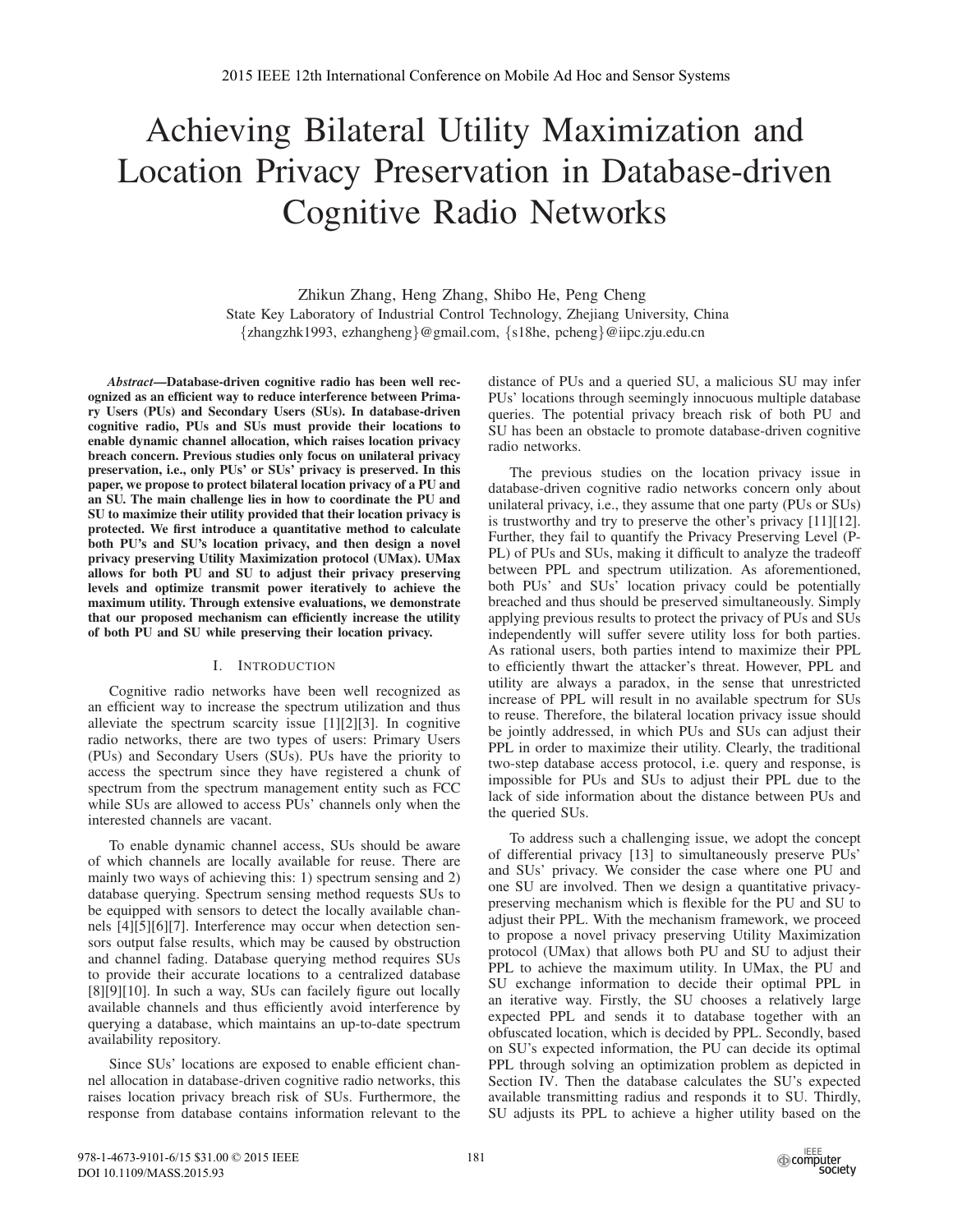# Achieving Bilateral Utility Maximization and Location Privacy Preservation in Database-driven Cognitive Radio Networks

Zhikun Zhang, Heng Zhang, Shibo He, Peng Cheng State Key Laboratory of Industrial Control Technology, Zhejiang University, China {zhangzhk1993, ezhangheng}@gmail.com, {s18he, pcheng}@iipc.zju.edu.cn

*Abstract*—Database-driven cognitive radio has been well recognized as an efficient way to reduce interference between Primary Users (PUs) and Secondary Users (SUs). In database-driven cognitive radio, PUs and SUs must provide their locations to enable dynamic channel allocation, which raises location privacy breach concern. Previous studies only focus on unilateral privacy preservation, i.e., only PUs' or SUs' privacy is preserved. In this paper, we propose to protect bilateral location privacy of a PU and an SU. The main challenge lies in how to coordinate the PU and SU to maximize their utility provided that their location privacy is protected. We first introduce a quantitative method to calculate both PU's and SU's location privacy, and then design a novel privacy preserving Utility Maximization protocol (UMax). UMax allows for both PU and SU to adjust their privacy preserving levels and optimize transmit power iteratively to achieve the maximum utility. Through extensive evaluations, we demonstrate that our proposed mechanism can efficiently increase the utility of both PU and SU while preserving their location privacy.

## I. INTRODUCTION

Cognitive radio networks have been well recognized as an efficient way to increase the spectrum utilization and thus alleviate the spectrum scarcity issue [1][2][3]. In cognitive radio networks, there are two types of users: Primary Users (PUs) and Secondary Users (SUs). PUs have the priority to access the spectrum since they have registered a chunk of spectrum from the spectrum management entity such as FCC while SUs are allowed to access PUs' channels only when the interested channels are vacant.

To enable dynamic channel access, SUs should be aware of which channels are locally available for reuse. There are mainly two ways of achieving this: 1) spectrum sensing and 2) database querying. Spectrum sensing method requests SUs to be equipped with sensors to detect the locally available channels [4][5][6][7]. Interference may occur when detection sensors output false results, which may be caused by obstruction and channel fading. Database querying method requires SUs to provide their accurate locations to a centralized database [8][9][10]. In such a way, SUs can facilely figure out locally available channels and thus efficiently avoid interference by querying a database, which maintains an up-to-date spectrum availability repository.

Since SUs' locations are exposed to enable efficient channel allocation in database-driven cognitive radio networks, this raises location privacy breach risk of SUs. Furthermore, the response from database contains information relevant to the

distance of PUs and a queried SU, a malicious SU may infer PUs' locations through seemingly innocuous multiple database queries. The potential privacy breach risk of both PU and SU has been an obstacle to promote database-driven cognitive radio networks.

The previous studies on the location privacy issue in database-driven cognitive radio networks concern only about unilateral privacy, i.e., they assume that one party (PUs or SUs) is trustworthy and try to preserve the other's privacy [11][12]. Further, they fail to quantify the Privacy Preserving Level (P-PL) of PUs and SUs, making it difficult to analyze the tradeoff between PPL and spectrum utilization. As aforementioned, both PUs' and SUs' location privacy could be potentially breached and thus should be preserved simultaneously. Simply applying previous results to protect the privacy of PUs and SUs independently will suffer severe utility loss for both parties. As rational users, both parties intend to maximize their PPL to efficiently thwart the attacker's threat. However, PPL and utility are always a paradox, in the sense that unrestricted increase of PPL will result in no available spectrum for SUs to reuse. Therefore, the bilateral location privacy issue should be jointly addressed, in which PUs and SUs can adjust their PPL in order to maximize their utility. Clearly, the traditional two-step database access protocol, i.e. query and response, is impossible for PUs and SUs to adjust their PPL due to the lack of side information about the distance between PUs and the queried SUs.

To address such a challenging issue, we adopt the concept of differential privacy [13] to simultaneously preserve PUs' and SUs' privacy. We consider the case where one PU and one SU are involved. Then we design a quantitative privacypreserving mechanism which is flexible for the PU and SU to adjust their PPL. With the mechanism framework, we proceed to propose a novel privacy preserving Utility Maximization protocol (UMax) that allows both PU and SU to adjust their PPL to achieve the maximum utility. In UMax, the PU and SU exchange information to decide their optimal PPL in an iterative way. Firstly, the SU chooses a relatively large expected PPL and sends it to database together with an obfuscated location, which is decided by PPL. Secondly, based on SU's expected information, the PU can decide its optimal PPL through solving an optimization problem as depicted in Section IV. Then the database calculates the SU's expected available transmitting radius and responds it to SU. Thirdly, SU adjusts its PPL to achieve a higher utility based on the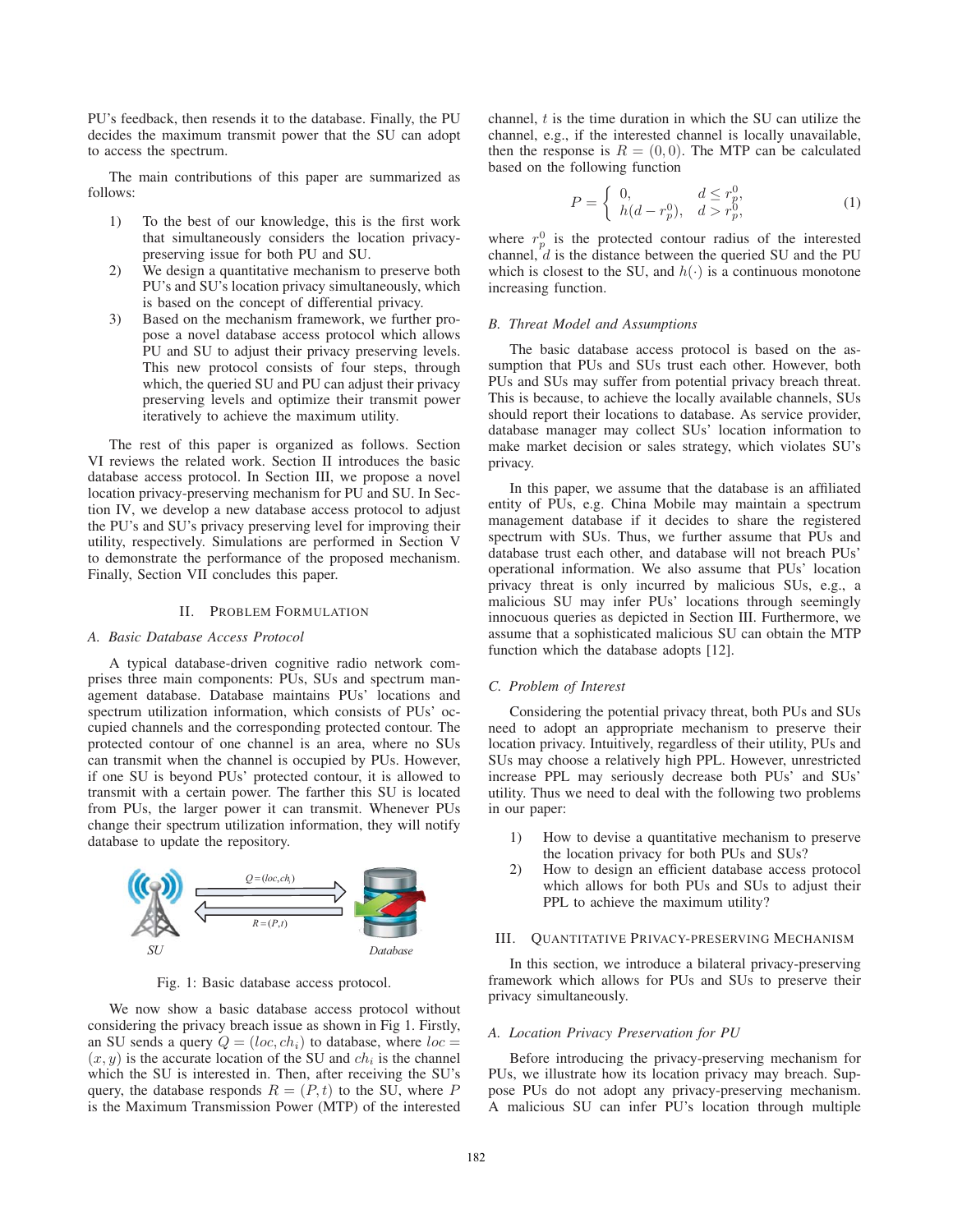PU's feedback, then resends it to the database. Finally, the PU decides the maximum transmit power that the SU can adopt to access the spectrum.

The main contributions of this paper are summarized as follows:

- 1) To the best of our knowledge, this is the first work that simultaneously considers the location privacypreserving issue for both PU and SU.
- 2) We design a quantitative mechanism to preserve both PU's and SU's location privacy simultaneously, which is based on the concept of differential privacy.
- 3) Based on the mechanism framework, we further propose a novel database access protocol which allows PU and SU to adjust their privacy preserving levels. This new protocol consists of four steps, through which, the queried SU and PU can adjust their privacy preserving levels and optimize their transmit power iteratively to achieve the maximum utility.

The rest of this paper is organized as follows. Section VI reviews the related work. Section II introduces the basic database access protocol. In Section III, we propose a novel location privacy-preserving mechanism for PU and SU. In Section IV, we develop a new database access protocol to adjust the PU's and SU's privacy preserving level for improving their utility, respectively. Simulations are performed in Section V to demonstrate the performance of the proposed mechanism. Finally, Section VII concludes this paper.

#### II. PROBLEM FORMULATION

#### *A. Basic Database Access Protocol*

A typical database-driven cognitive radio network comprises three main components: PUs, SUs and spectrum management database. Database maintains PUs' locations and spectrum utilization information, which consists of PUs' occupied channels and the corresponding protected contour. The protected contour of one channel is an area, where no SUs can transmit when the channel is occupied by PUs. However, if one SU is beyond PUs' protected contour, it is allowed to transmit with a certain power. The farther this SU is located from PUs, the larger power it can transmit. Whenever PUs change their spectrum utilization information, they will notify database to update the repository.



Fig. 1: Basic database access protocol.

We now show a basic database access protocol without considering the privacy breach issue as shown in Fig 1. Firstly, an SU sends a query  $Q = (loc, ch_i)$  to database, where  $loc =$  $(x, y)$  is the accurate location of the SU and  $ch<sub>i</sub>$  is the channel which the SU is interested in. Then, after receiving the SU's query, the database responds  $R = (P, t)$  to the SU, where P is the Maximum Transmission Power (MTP) of the interested channel, *t* is the time duration in which the SU can utilize the channel, e.g., if the interested channel is locally unavailable, then the response is  $R = (0, 0)$ . The MTP can be calculated based on the following function

$$
P = \begin{cases} 0, & d \le r_p^0, \\ h(d - r_p^0), & d > r_p^0, \end{cases}
$$
 (1)

where  $r_p^0$  is the protected contour radius of the interested channel,  $d$  is the distance between the queried SU and the PU which is closest to the SU, and  $h(\cdot)$  is a continuous monotone increasing function.

#### *B. Threat Model and Assumptions*

The basic database access protocol is based on the assumption that PUs and SUs trust each other. However, both PUs and SUs may suffer from potential privacy breach threat. This is because, to achieve the locally available channels, SUs should report their locations to database. As service provider, database manager may collect SUs' location information to make market decision or sales strategy, which violates SU's privacy.

In this paper, we assume that the database is an affiliated entity of PUs, e.g. China Mobile may maintain a spectrum management database if it decides to share the registered spectrum with SUs. Thus, we further assume that PUs and database trust each other, and database will not breach PUs' operational information. We also assume that PUs' location privacy threat is only incurred by malicious SUs, e.g., a malicious SU may infer PUs' locations through seemingly innocuous queries as depicted in Section III. Furthermore, we assume that a sophisticated malicious SU can obtain the MTP function which the database adopts [12].

#### *C. Problem of Interest*

Considering the potential privacy threat, both PUs and SUs need to adopt an appropriate mechanism to preserve their location privacy. Intuitively, regardless of their utility, PUs and SUs may choose a relatively high PPL. However, unrestricted increase PPL may seriously decrease both PUs' and SUs' utility. Thus we need to deal with the following two problems in our paper:

- 1) How to devise a quantitative mechanism to preserve the location privacy for both PUs and SUs?
- 2) How to design an efficient database access protocol which allows for both PUs and SUs to adjust their PPL to achieve the maximum utility?

## III. QUANTITATIVE PRIVACY-PRESERVING MECHANISM

In this section, we introduce a bilateral privacy-preserving framework which allows for PUs and SUs to preserve their privacy simultaneously.

#### *A. Location Privacy Preservation for PU*

Before introducing the privacy-preserving mechanism for PUs, we illustrate how its location privacy may breach. Suppose PUs do not adopt any privacy-preserving mechanism. A malicious SU can infer PU's location through multiple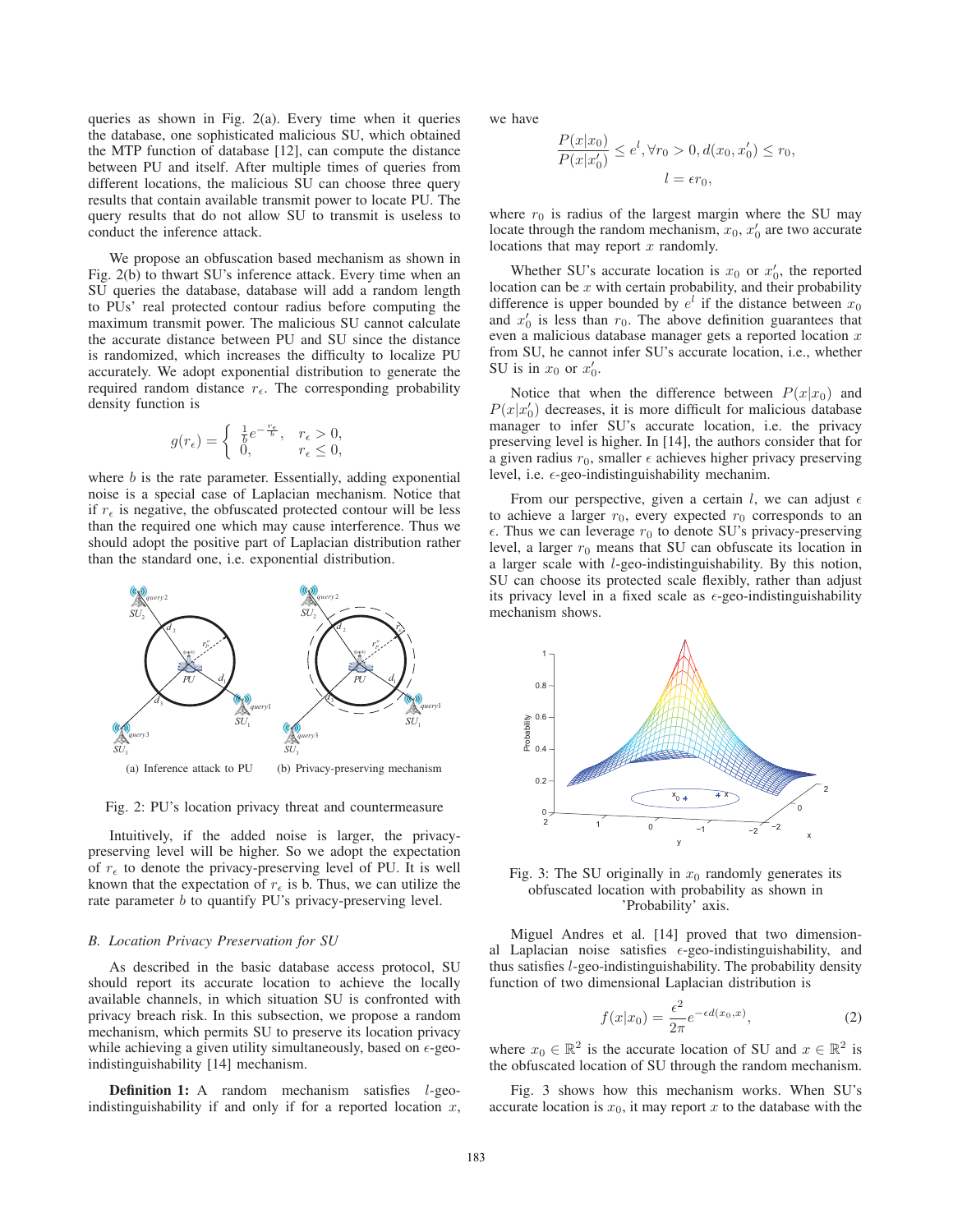queries as shown in Fig. 2(a). Every time when it queries the database, one sophisticated malicious SU, which obtained the MTP function of database [12], can compute the distance between PU and itself. After multiple times of queries from different locations, the malicious SU can choose three query results that contain available transmit power to locate PU. The query results that do not allow SU to transmit is useless to conduct the inference attack.

We propose an obfuscation based mechanism as shown in Fig. 2(b) to thwart SU's inference attack. Every time when an SU queries the database, database will add a random length to PUs' real protected contour radius before computing the maximum transmit power. The malicious SU cannot calculate the accurate distance between PU and SU since the distance is randomized, which increases the difficulty to localize PU accurately. We adopt exponential distribution to generate the required random distance  $r_{\epsilon}$ . The corresponding probability density function is

$$
g(r_{\epsilon}) = \begin{cases} \frac{1}{b}e^{-\frac{r_{\epsilon}}{b}}, & r_{\epsilon} > 0, \\ 0, & r_{\epsilon} \le 0, \end{cases}
$$

where *b* is the rate parameter. Essentially, adding exponential noise is a special case of Laplacian mechanism. Notice that if  $r_{\epsilon}$  is negative, the obfuscated protected contour will be less than the required one which may cause interference. Thus we should adopt the positive part of Laplacian distribution rather than the standard one, i.e. exponential distribution.



Fig. 2: PU's location privacy threat and countermeasure

Intuitively, if the added noise is larger, the privacypreserving level will be higher. So we adopt the expectation of  $r_{\epsilon}$  to denote the privacy-preserving level of PU. It is well known that the expectation of  $r_{\epsilon}$  is b. Thus, we can utilize the rate parameter *b* to quantify PU's privacy-preserving level.

## *B. Location Privacy Preservation for SU*

As described in the basic database access protocol, SU should report its accurate location to achieve the locally available channels, in which situation SU is confronted with privacy breach risk. In this subsection, we propose a random mechanism, which permits SU to preserve its location privacy while achieving a given utility simultaneously, based on  $\epsilon$ -geoindistinguishability [14] mechanism.

Definition 1: A random mechanism satisfies *l*-geoindistinguishability if and only if for a reported location *x*, we have

$$
\frac{P(x|x_0)}{P(x|x'_0)} \le e^l, \forall r_0 > 0, d(x_0, x'_0) \le r_0,
$$
  

$$
l = \epsilon r_0,
$$

where  $r_0$  is radius of the largest margin where the SU may locate through the random mechanism,  $x_0$ ,  $x'_0$  are two accurate locations that may report *x* randomly.

Whether SU's accurate location is  $x_0$  or  $x'_0$ , the reported location can be *x* with certain probability, and their probability difference is upper bounded by  $e^{l}$  if the distance between  $x_0$ and  $x'_0$  is less than  $r_0$ . The above definition guarantees that even a malicious database manager gets a reported location *x* from SU, he cannot infer SU's accurate location, i.e., whether SU is in  $x_0$  or  $x'_0$ .

Notice that when the difference between  $P(x|x_0)$  and  $P(x|x_0)$  decreases, it is more difficult for malicious database manager to infer SU's accurate location, i.e. the privacy preserving level is higher. In [14], the authors consider that for a given radius  $r_0$ , smaller  $\epsilon$  achieves higher privacy preserving level, i.e.  $\epsilon$ -geo-indistinguishability mechanim.

From our perspective, given a certain  $l$ , we can adjust  $\epsilon$ to achieve a larger  $r_0$ , every expected  $r_0$  corresponds to an  $\epsilon$ . Thus we can leverage  $r_0$  to denote SU's privacy-preserving level, a larger  $r_0$  means that SU can obfuscate its location in a larger scale with *l*-geo-indistinguishability. By this notion, SU can choose its protected scale flexibly, rather than adjust its privacy level in a fixed scale as  $\epsilon$ -geo-indistinguishability mechanism shows.



Fig. 3: The SU originally in  $x_0$  randomly generates its obfuscated location with probability as shown in 'Probability' axis.

Miguel Andres et al. [14] proved that two dimensional Laplacian noise satisfies  $\epsilon$ -geo-indistinguishability, and thus satisfies *l*-geo-indistinguishability. The probability density function of two dimensional Laplacian distribution is

$$
f(x|x_0) = \frac{\epsilon^2}{2\pi} e^{-\epsilon d(x_0, x)},\tag{2}
$$

where  $x_0 \in \mathbb{R}^2$  is the accurate location of SU and  $x \in \mathbb{R}^2$  is the obfuscated location of SU through the random mechanism.

Fig. 3 shows how this mechanism works. When SU's accurate location is  $x_0$ , it may report x to the database with the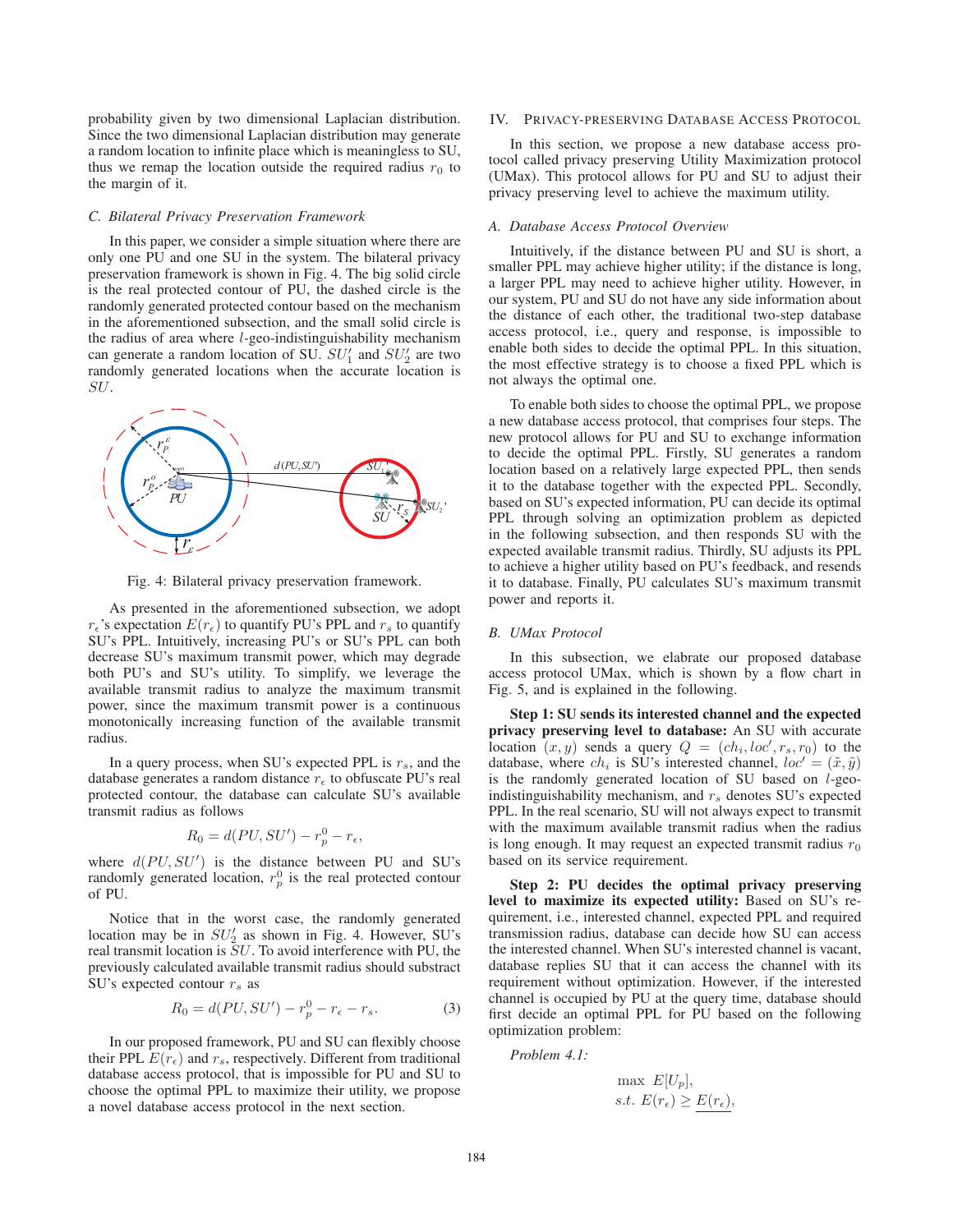probability given by two dimensional Laplacian distribution. Since the two dimensional Laplacian distribution may generate a random location to infinite place which is meaningless to SU, thus we remap the location outside the required radius  $r_0$  to the margin of it.

#### *C. Bilateral Privacy Preservation Framework*

In this paper, we consider a simple situation where there are only one PU and one SU in the system. The bilateral privacy preservation framework is shown in Fig. 4. The big solid circle is the real protected contour of PU, the dashed circle is the randomly generated protected contour based on the mechanism in the aforementioned subsection, and the small solid circle is the radius of area where *l*-geo-indistinguishability mechanism can generate a random location of SU.  $SU_1'$  and  $SU_2'$  are two randomly generated locations when the accurate location is *SU*.



Fig. 4: Bilateral privacy preservation framework.

As presented in the aforementioned subsection, we adopt  $r_{\epsilon}$ 's expectation  $E(r_{\epsilon})$  to quantify PU's PPL and  $r_s$  to quantify SU's PPL. Intuitively, increasing PU's or SU's PPL can both decrease SU's maximum transmit power, which may degrade both PU's and SU's utility. To simplify, we leverage the available transmit radius to analyze the maximum transmit power, since the maximum transmit power is a continuous monotonically increasing function of the available transmit radius.

In a query process, when SU's expected PPL is  $r<sub>s</sub>$ , and the database generates a random distance  $r_{\epsilon}$  to obfuscate PU's real protected contour, the database can calculate SU's available transmit radius as follows

$$
R_0 = d(PU, SU') - r_p^0 - r_{\epsilon},
$$

where  $d(PU, SU')$  is the distance between PU and SU's randomly generated location,  $r_p^0$  is the real protected contour of PU.

Notice that in the worst case, the randomly generated location may be in  $SU_2'$  as shown in Fig. 4. However, SU's real transmit location is *SU*. To avoid interference with PU, the previously calculated available transmit radius should substract SU's expected contour  $r<sub>s</sub>$  as

$$
R_0 = d(PU, SU') - r_p^0 - r_\epsilon - r_s. \tag{3}
$$

In our proposed framework, PU and SU can flexibly choose their PPL  $E(r_{\epsilon})$  and  $r_s$ , respectively. Different from traditional database access protocol, that is impossible for PU and SU to choose the optimal PPL to maximize their utility, we propose a novel database access protocol in the next section.

## IV. PRIVACY-PRESERVING DATABASE ACCESS PROTOCOL

In this section, we propose a new database access protocol called privacy preserving Utility Maximization protocol (UMax). This protocol allows for PU and SU to adjust their privacy preserving level to achieve the maximum utility.

## *A. Database Access Protocol Overview*

Intuitively, if the distance between PU and SU is short, a smaller PPL may achieve higher utility; if the distance is long, a larger PPL may need to achieve higher utility. However, in our system, PU and SU do not have any side information about the distance of each other, the traditional two-step database access protocol, i.e., query and response, is impossible to enable both sides to decide the optimal PPL. In this situation, the most effective strategy is to choose a fixed PPL which is not always the optimal one.

To enable both sides to choose the optimal PPL, we propose a new database access protocol, that comprises four steps. The new protocol allows for PU and SU to exchange information to decide the optimal PPL. Firstly, SU generates a random location based on a relatively large expected PPL, then sends it to the database together with the expected PPL. Secondly, based on SU's expected information, PU can decide its optimal PPL through solving an optimization problem as depicted in the following subsection, and then responds SU with the expected available transmit radius. Thirdly, SU adjusts its PPL to achieve a higher utility based on PU's feedback, and resends it to database. Finally, PU calculates SU's maximum transmit power and reports it.

## *B. UMax Protocol*

In this subsection, we elabrate our proposed database access protocol UMax, which is shown by a flow chart in Fig. 5, and is explained in the following.

Step 1: SU sends its interested channel and the expected privacy preserving level to database: An SU with accurate location  $(x, y)$  sends a query  $Q = (ch_i, loc', r_s, r_0)$  to the database, where  $ch_i$  is SU's interested channel,  $loc' = (\tilde{x}, \tilde{y})$ is the randomly generated location of SU based on *l*-geoindistinguishability mechanism, and  $r<sub>s</sub>$  denotes SU's expected PPL. In the real scenario, SU will not always expect to transmit with the maximum available transmit radius when the radius is long enough. It may request an expected transmit radius  $r_0$ based on its service requirement.

Step 2: PU decides the optimal privacy preserving level to maximize its expected utility: Based on SU's requirement, i.e., interested channel, expected PPL and required transmission radius, database can decide how SU can access the interested channel. When SU's interested channel is vacant, database replies SU that it can access the channel with its requirement without optimization. However, if the interested channel is occupied by PU at the query time, database should first decide an optimal PPL for PU based on the following optimization problem:

*Problem 4.1:*

$$
\max E[U_p],
$$
  
s.t.  $E(r_{\epsilon}) \ge \underline{E(r_{\epsilon})},$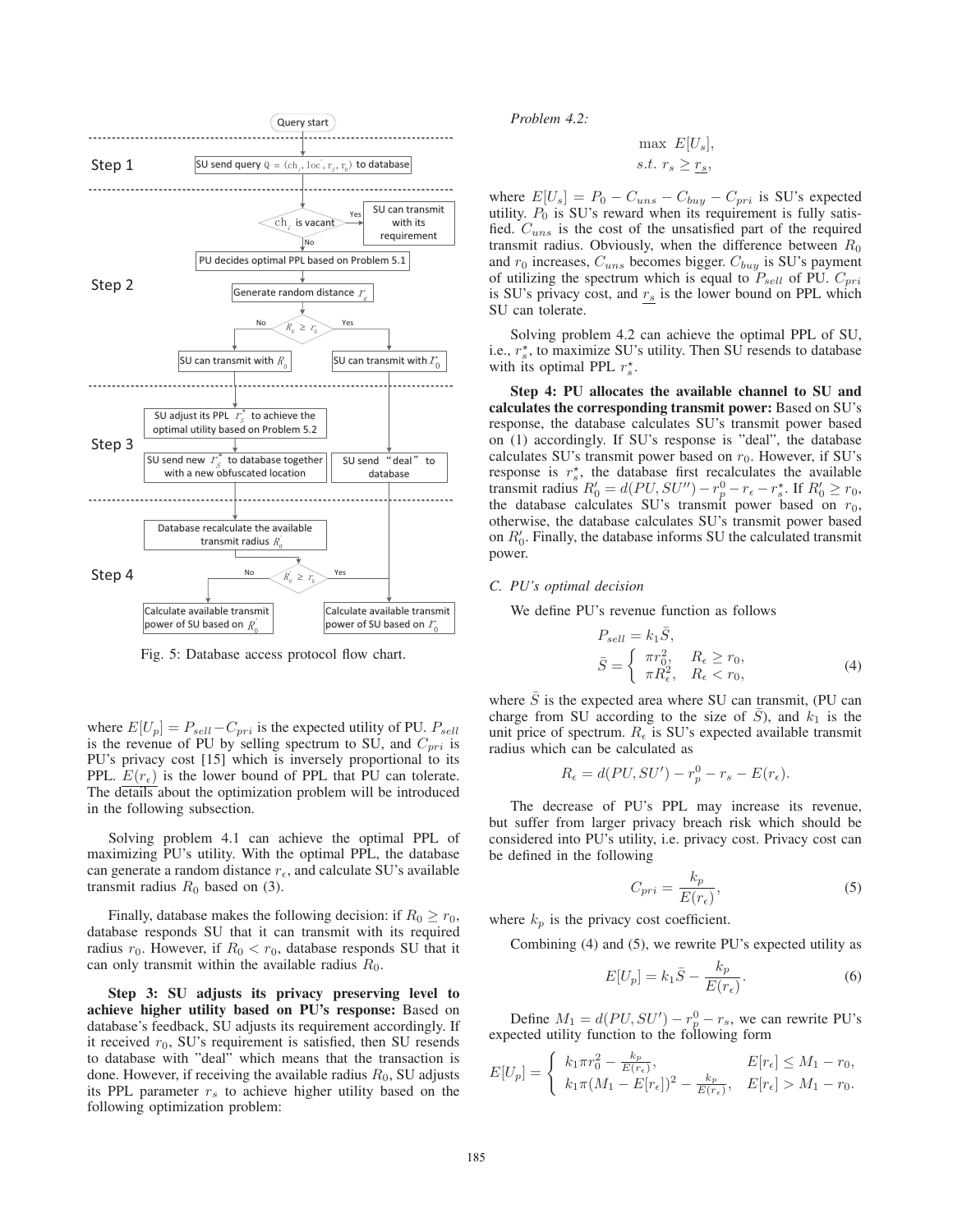

Fig. 5: Database access protocol flow chart.

where  $E[U_p] = P_{sell} - C_{pri}$  is the expected utility of PU.  $P_{sell}$ is the revenue of PU by selling spectrum to SU, and  $C_{pri}$  is PU's privacy cost [15] which is inversely proportional to its PPL.  $E(r_{\epsilon})$  is the lower bound of PPL that PU can tolerate. The details about the optimization problem will be introduced in the following subsection.

Solving problem 4.1 can achieve the optimal PPL of maximizing PU's utility. With the optimal PPL, the database can generate a random distance  $r_{\epsilon}$ , and calculate SU's available transmit radius  $R_0$  based on (3).

Finally, database makes the following decision: if  $R_0 \ge r_0$ , database responds SU that it can transmit with its required radius  $r_0$ . However, if  $R_0 < r_0$ , database responds SU that it can only transmit within the available radius *R*0.

Step 3: SU adjusts its privacy preserving level to achieve higher utility based on PU's response: Based on database's feedback, SU adjusts its requirement accordingly. If it received  $r_0$ , SU's requirement is satisfied, then SU resends to database with "deal" which means that the transaction is done. However, if receiving the available radius *R*0, SU adjusts its PPL parameter  $r<sub>s</sub>$  to achieve higher utility based on the following optimization problem:

*Problem 4.2:*

$$
\max E[U_s],
$$
  
s.t.  $r_s \ge r_s$ ,

where  $E[U_s] = P_0 - C_{uns} - C_{buy} - C_{pri}$  is SU's expected utility.  $P_0$  is SU's reward when its requirement is fully satisfied. *C*uns is the cost of the unsatisfied part of the required transmit radius. Obviously, when the difference between  $R_0$ and  $r_0$  increases,  $C_{uns}$  becomes bigger.  $C_{buy}$  is SU's payment of utilizing the spectrum which is equal to  $P_{sell}$  of PU.  $C_{pri}$ is SU's privacy cost, and  $r<sub>s</sub>$  is the lower bound on PPL which SU can tolerate.

Solving problem 4.2 can achieve the optimal PPL of SU, i.e.,  $r_s^*$ , to maximize SU's utility. Then SU resends to database with its optimal PPL  $r_s^*$ .

Step 4: PU allocates the available channel to SU and calculates the corresponding transmit power: Based on SU's response, the database calculates SU's transmit power based on (1) accordingly. If SU's response is "deal", the database calculates SU's transmit power based on  $r_0$ . However, if SU's response is  $r_s^*$ , the database first recalculates the available transmit radius  $R'_0 = d(PU, SU'') - r_p^0 - r_{\epsilon} - r_s^*$ . If  $R'_0 \ge r_0$ , the database calculates SU's transmit power based on  $r_0$ , otherwise, the database calculates SU's transmit power based on  $R'_0$ . Finally, the database informs SU the calculated transmit power.

#### *C. PU's optimal decision*

We define PU's revenue function as follows

$$
P_{sell} = k_1 \overline{S},
$$
  
\n
$$
\overline{S} = \begin{cases} \pi r_0^2, & R_{\epsilon} \ge r_0, \\ \pi R_{\epsilon}^2, & R_{\epsilon} < r_0, \end{cases}
$$
\n(4)

where  $\overline{S}$  is the expected area where SU can transmit, (PU can charge from SU according to the size of  $\overline{S}$ ), and  $k_1$  is the unit price of spectrum.  $R_{\epsilon}$  is SU's expected available transmit radius which can be calculated as

$$
R_{\epsilon} = d(PU, SU') - r_p^0 - r_s - E(r_{\epsilon}).
$$

The decrease of PU's PPL may increase its revenue, but suffer from larger privacy breach risk which should be considered into PU's utility, i.e. privacy cost. Privacy cost can be defined in the following

$$
C_{pri} = \frac{k_p}{E(r_{\epsilon})},\tag{5}
$$

where  $k_p$  is the privacy cost coefficient.

Combining (4) and (5), we rewrite PU's expected utility as

$$
E[U_p] = k_1 \overline{S} - \frac{k_p}{E(r_\epsilon)}.
$$
\n
$$
(6)
$$

Define  $M_1 = d(PU, SU') - r_p^0 - r_s$ , we can rewrite PU's expected utility function to the following form

$$
E[U_p] = \begin{cases} k_1 \pi r_0^2 - \frac{k_p}{E(r_{\epsilon})}, & E[r_{\epsilon}] \le M_1 - r_0, \\ k_1 \pi (M_1 - E[r_{\epsilon}])^2 - \frac{k_p}{E(r_{\epsilon})}, & E[r_{\epsilon}] > M_1 - r_0. \end{cases}
$$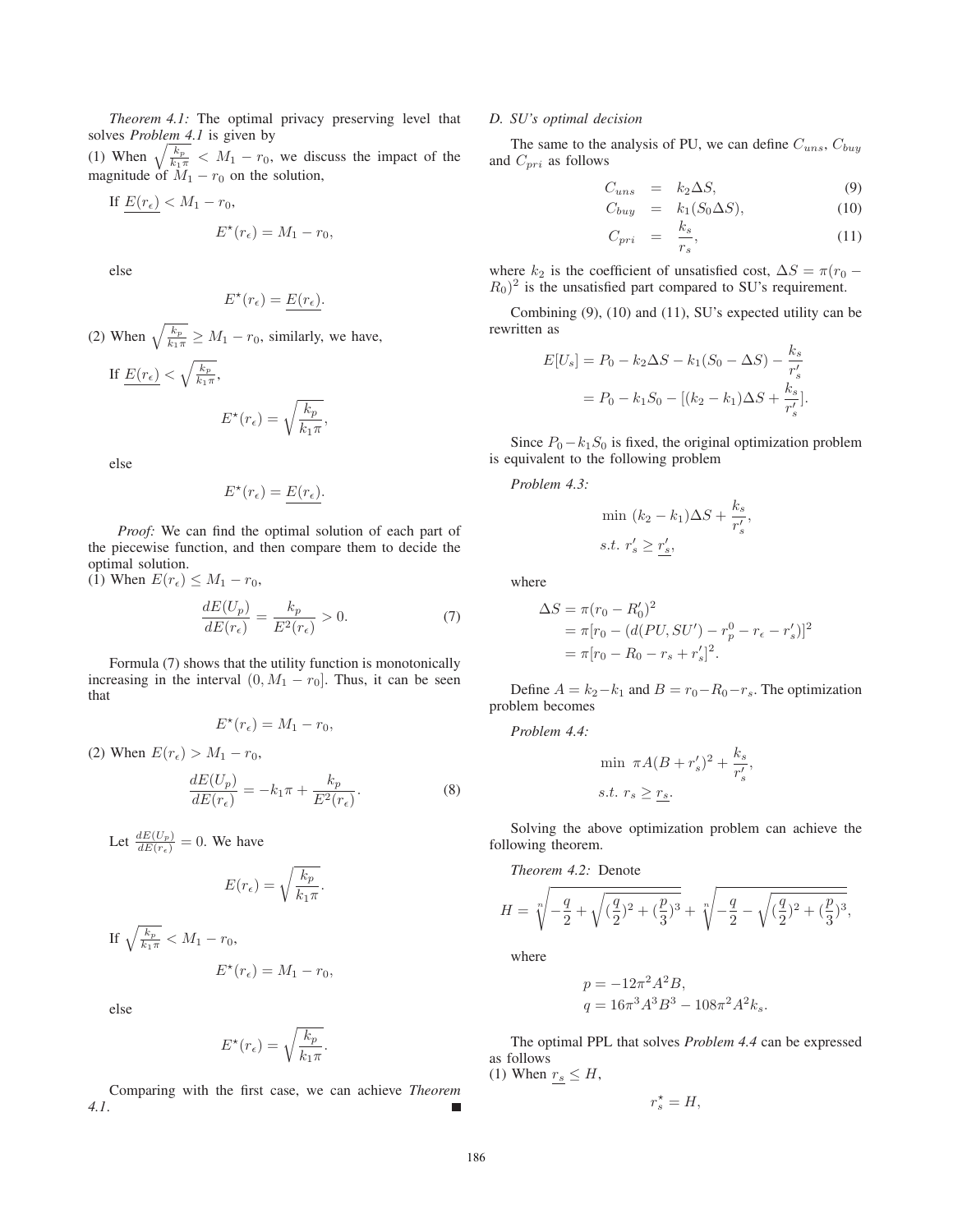*Theorem 4.1:* The optimal privacy preserving level that solves *Problem 4.1* is given by

(1) When  $\sqrt{\frac{k_p}{k_1 \pi}} < M_1 - r_0$ , we discuss the impact of the magnitude of  $M_1 - r_0$  on the solution,

If 
$$
\underline{E(r_{\epsilon})} < M_1 - r_0
$$
,  
 $E^*(r_{\epsilon}) = M_1 - r_0$ ,

else

$$
E^*(r_{\epsilon}) = \underline{E(r_{\epsilon})}.
$$

(2) When  $\sqrt{\frac{k_p}{k_1 \pi}} \ge M_1 - r_0$ , similarly, we have,

If 
$$
\underline{E(r_{\epsilon})} < \sqrt{\frac{k_p}{k_1 \pi}}
$$
,  

$$
E^{\star}(r_{\epsilon}) = \sqrt{\frac{k_p}{k_1 \pi}},
$$

else

$$
E^{\star}(r_{\epsilon}) = \underline{E(r_{\epsilon})}.
$$

*Proof:* We can find the optimal solution of each part of the piecewise function, and then compare them to decide the optimal solution.

(1) When  $E(r_{\epsilon}) \leq M_1 - r_0$ ,

$$
\frac{dE(U_p)}{dE(r_{\epsilon})} = \frac{k_p}{E^2(r_{\epsilon})} > 0.
$$
\n(7)

Formula (7) shows that the utility function is monotonically increasing in the interval  $(0, M_1 - r_0]$ . Thus, it can be seen that

$$
E^*(r_\epsilon) = M_1 - r_0,
$$

(2) When  $E(r_{\epsilon}) > M_1 - r_0$ ,

$$
\frac{dE(U_p)}{dE(r_{\epsilon})} = -k_1 \pi + \frac{k_p}{E^2(r_{\epsilon})}.
$$
\n(8)

Let 
$$
\frac{dE(U_p)}{dE(r_\epsilon)} = 0
$$
. We have  
\n
$$
E(r_\epsilon) = \sqrt{\frac{k_p}{k_1 \pi}}.
$$
\nIf  $\sqrt{\frac{k_p}{k_1 \pi}} < M_1 - r_0$ ,  
\n
$$
E^\star(r_\epsilon) = M_1 - r_0,
$$

else

$$
E^{\star}(r_{\epsilon}) = \sqrt{\frac{k_p}{k_1 \pi}}.
$$

Comparing with the first case, we can achieve *Theorem 4.1*. П

## *D. SU's optimal decision*

The same to the analysis of PU, we can define  $C_{uns}$ ,  $C_{buy}$ and  $C_{pri}$  as follows

$$
C_{uns} = k_2 \Delta S, \tag{9}
$$

$$
C_{buy} = k_1(S_0 \Delta S), \qquad (10)
$$

$$
C_{pri} = \frac{k_s}{r_s}, \tag{11}
$$

where  $k_2$  is the coefficient of unsatisfied cost,  $\Delta S = \pi (r_0 - r_1)$  $R_0$ <sup>2</sup> is the unsatisfied part compared to SU's requirement.

Combining (9), (10) and (11), SU's expected utility can be rewritten as

$$
E[U_s] = P_0 - k_2 \Delta S - k_1 (S_0 - \Delta S) - \frac{k_s}{r'_s}
$$
  
=  $P_0 - k_1 S_0 - [(k_2 - k_1) \Delta S + \frac{k_s}{r'_s}].$ 

Since  $P_0 - k_1 S_0$  is fixed, the original optimization problem is equivalent to the following problem

*Problem 4.3:*

$$
\label{eq:1} \begin{aligned} &\text{min}\ (k_2-k_1)\Delta S+\frac{k_s}{r'_s},\\ &s.t. \ r'_s\geq \underline{r'_s}, \end{aligned}
$$

where

$$
\Delta S = \pi (r_0 - R'_0)^2
$$
  
=  $\pi [r_0 - (d(PU, SU') - r_p^0 - r_{\epsilon} - r'_s)]^2$   
=  $\pi [r_0 - R_0 - r_s + r'_s]^2$ .

Define  $A = k_2 - k_1$  and  $B = r_0 - R_0 - r_s$ . The optimization problem becomes

*Problem 4.4:*

$$
\min \ \pi A (B + r'_s)^2 + \frac{k_s}{r'_s},
$$
  
s.t. 
$$
r_s \ge r_s.
$$

Solving the above optimization problem can achieve the following theorem.

*Theorem 4.2:* Denote

$$
H = \sqrt[n]{-\frac{q}{2} + \sqrt{(\frac{q}{2})^2 + (\frac{p}{3})^3}} + \sqrt[n]{-\frac{q}{2} - \sqrt{(\frac{q}{2})^2 + (\frac{p}{3})^3}},
$$

where

$$
p = -12\pi^2 A^2 B,
$$
  
\n
$$
q = 16\pi^3 A^3 B^3 - 108\pi^2 A^2 k_s.
$$

The optimal PPL that solves *Problem 4.4* can be expressed as follows

(1) When  $r_s \leq H$ ,

$$
r_s^\star = H,
$$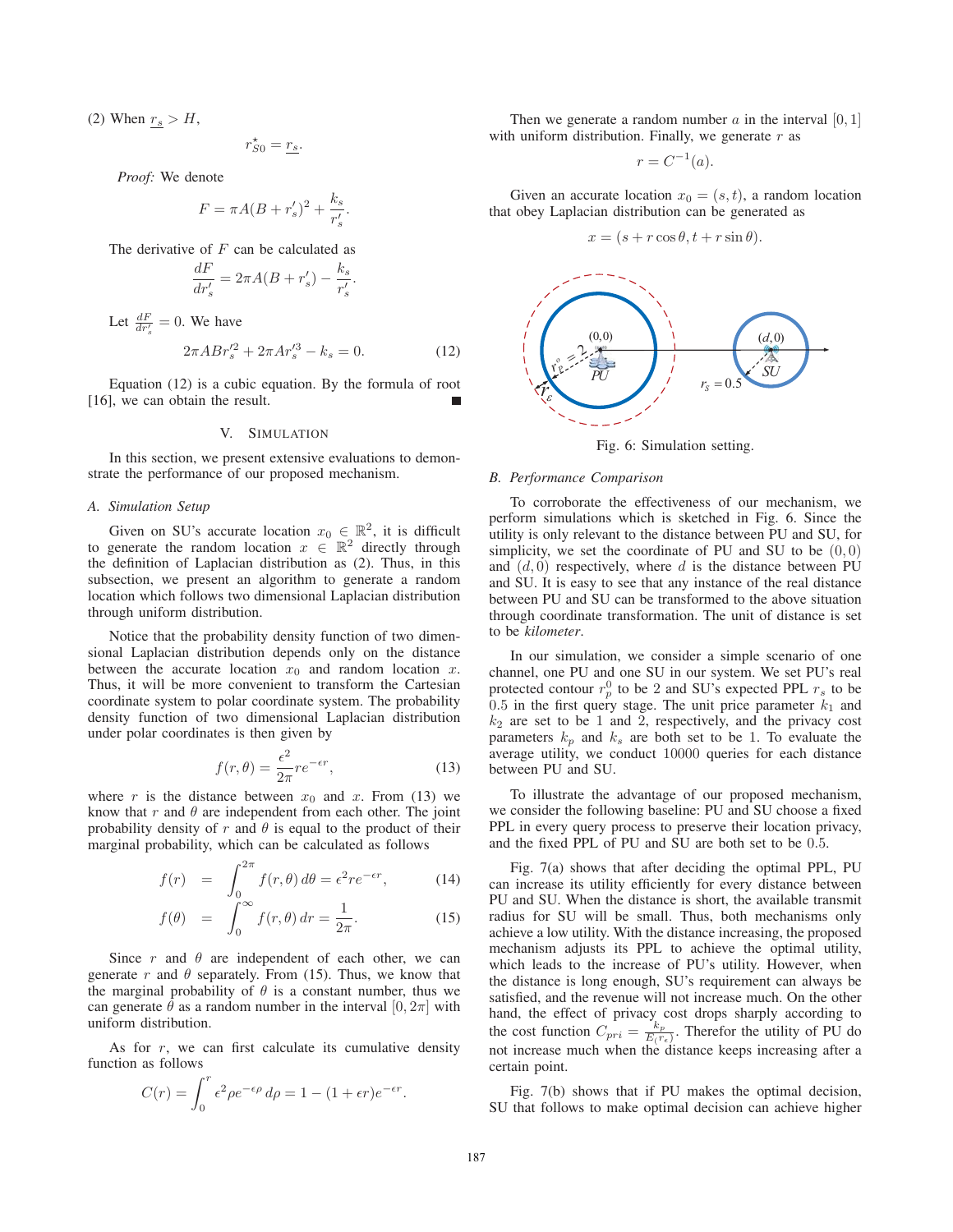(2) When  $r_s > H$ ,

$$
r_{S0}^{\star}=\underline{r_{s}}.
$$

*Proof:* We denote

$$
F = \pi A (B + r'_s)^2 + \frac{k_s}{r'_s}.
$$

The derivative of *F* can be calculated as

$$
\frac{dF}{dr'_s} = 2\pi A(B + r'_s) - \frac{k_s}{r'_s}
$$

Let  $\frac{dF}{dr'_s} = 0$ . We have

$$
2\pi ABr_s^{\prime 2} + 2\pi Ar_s^{\prime 3} - k_s = 0.
$$
 (12)

*.*

Equation (12) is a cubic equation. By the formula of root [16], we can obtain the result.

#### V. SIMULATION

In this section, we present extensive evaluations to demonstrate the performance of our proposed mechanism.

## *A. Simulation Setup*

Given on SU's accurate location  $x_0 \in \mathbb{R}^2$ , it is difficult to generate the random location  $x \in \mathbb{R}^2$  directly through the definition of Laplacian distribution as (2). Thus, in this subsection, we present an algorithm to generate a random location which follows two dimensional Laplacian distribution through uniform distribution.

Notice that the probability density function of two dimensional Laplacian distribution depends only on the distance between the accurate location  $x_0$  and random location  $x$ . Thus, it will be more convenient to transform the Cartesian coordinate system to polar coordinate system. The probability density function of two dimensional Laplacian distribution under polar coordinates is then given by

$$
f(r,\theta) = \frac{\epsilon^2}{2\pi}re^{-\epsilon r},\qquad(13)
$$

where  $r$  is the distance between  $x_0$  and  $x$ . From (13) we know that  $r$  and  $\theta$  are independent from each other. The joint probability density of  $r$  and  $\theta$  is equal to the product of their marginal probability, which can be calculated as follows

$$
f(r) = \int_0^{2\pi} f(r,\theta) d\theta = \epsilon^2 r e^{-\epsilon r}, \qquad (14)
$$

$$
f(\theta) = \int_0^\infty f(r,\theta) dr = \frac{1}{2\pi}.
$$
 (15)

Since  $r$  and  $\theta$  are independent of each other, we can generate  $r$  and  $\theta$  separately. From (15). Thus, we know that the marginal probability of  $\theta$  is a constant number, thus we can generate  $\theta$  as a random number in the interval  $[0, 2\pi]$  with uniform distribution.

As for *r*, we can first calculate its cumulative density function as follows

$$
C(r) = \int_0^r \epsilon^2 \rho e^{-\epsilon \rho} d\rho = 1 - (1 + \epsilon r) e^{-\epsilon r}.
$$

Then we generate a random number  $\alpha$  in the interval  $[0, 1]$ with uniform distribution. Finally, we generate *r* as

$$
r = C^{-1}(a).
$$

Given an accurate location  $x_0 = (s, t)$ , a random location that obey Laplacian distribution can be generated as

$$
x = (s + r\cos\theta, t + r\sin\theta).
$$



Fig. 6: Simulation setting.

## *B. Performance Comparison*

To corroborate the effectiveness of our mechanism, we perform simulations which is sketched in Fig. 6. Since the utility is only relevant to the distance between PU and SU, for simplicity, we set the coordinate of PU and SU to be  $(0, 0)$ and  $(d, 0)$  respectively, where  $d$  is the distance between PU and SU. It is easy to see that any instance of the real distance between PU and SU can be transformed to the above situation through coordinate transformation. The unit of distance is set to be *kilometer*.

In our simulation, we consider a simple scenario of one channel, one PU and one SU in our system. We set PU's real protected contour  $r_p^0$  to be 2 and SU's expected PPL  $r_s$  to be  $0.5$  in the first query stage. The unit price parameter  $k_1$  and  $k_2$  are set to be 1 and 2, respectively, and the privacy cost parameters  $k_p$  and  $k_s$  are both set to be 1. To evaluate the average utility, we conduct 10000 queries for each distance between PU and SU.

To illustrate the advantage of our proposed mechanism, we consider the following baseline: PU and SU choose a fixed PPL in every query process to preserve their location privacy, and the fixed PPL of PU and SU are both set to be 0*.*5.

Fig. 7(a) shows that after deciding the optimal PPL, PU can increase its utility efficiently for every distance between PU and SU. When the distance is short, the available transmit radius for SU will be small. Thus, both mechanisms only achieve a low utility. With the distance increasing, the proposed mechanism adjusts its PPL to achieve the optimal utility, which leads to the increase of PU's utility. However, when the distance is long enough, SU's requirement can always be satisfied, and the revenue will not increase much. On the other hand, the effect of privacy cost drops sharply according to the cost function  $C_{pri} = \frac{k_p}{E(r_e)}$ . Therefor the utility of PU do not increase much when the distance keeps increasing after a certain point.

Fig. 7(b) shows that if PU makes the optimal decision, SU that follows to make optimal decision can achieve higher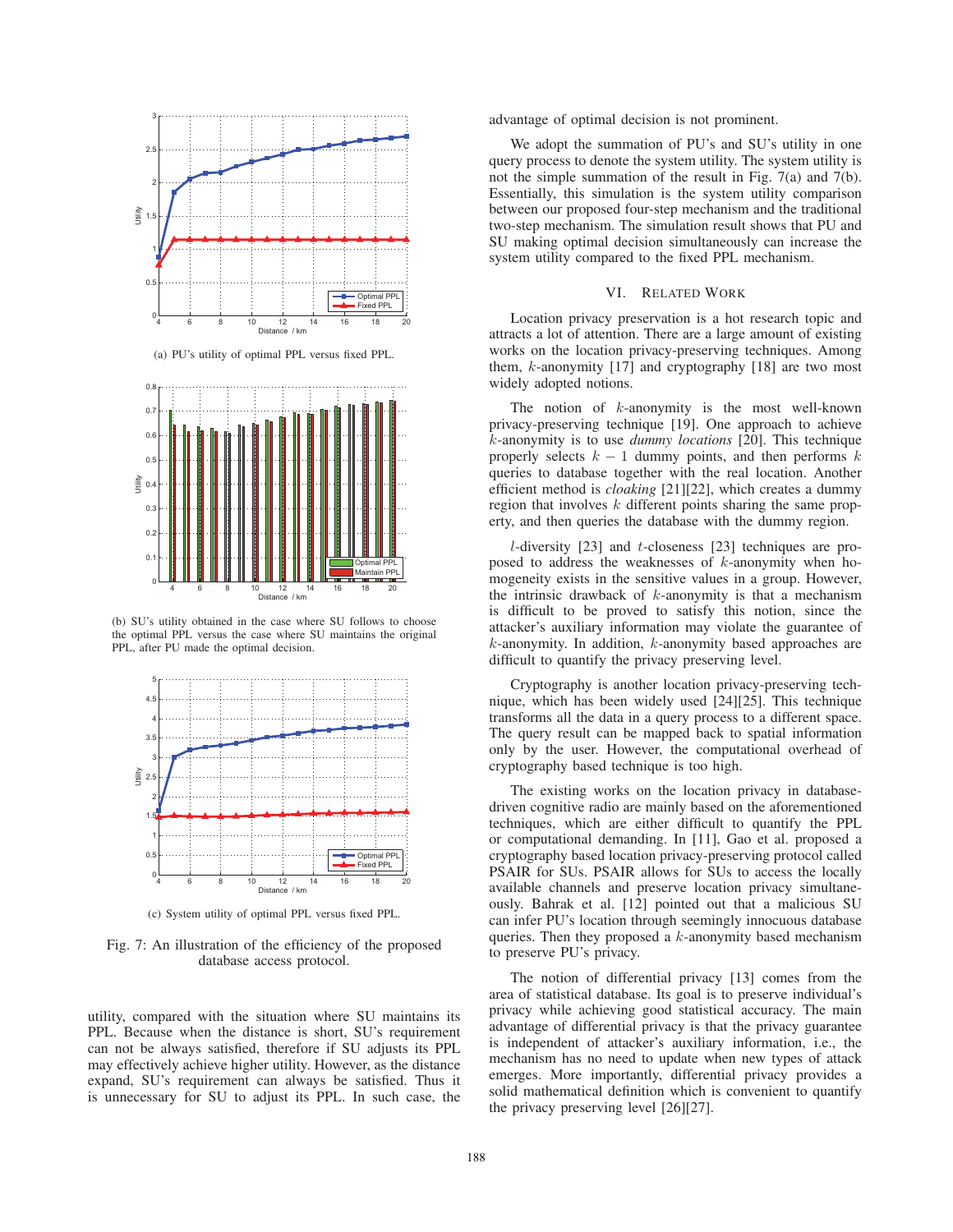

(a) PU's utility of optimal PPL versus fixed PPL.



(b) SU's utility obtained in the case where SU follows to choose the optimal PPL versus the case where SU maintains the original PPL, after PU made the optimal decision.



(c) System utility of optimal PPL versus fixed PPL.

Fig. 7: An illustration of the efficiency of the proposed database access protocol.

utility, compared with the situation where SU maintains its PPL. Because when the distance is short, SU's requirement can not be always satisfied, therefore if SU adjusts its PPL may effectively achieve higher utility. However, as the distance expand, SU's requirement can always be satisfied. Thus it is unnecessary for SU to adjust its PPL. In such case, the

advantage of optimal decision is not prominent.

We adopt the summation of PU's and SU's utility in one query process to denote the system utility. The system utility is not the simple summation of the result in Fig. 7(a) and 7(b). Essentially, this simulation is the system utility comparison between our proposed four-step mechanism and the traditional two-step mechanism. The simulation result shows that PU and SU making optimal decision simultaneously can increase the system utility compared to the fixed PPL mechanism.

## VI. RELATED WORK

Location privacy preservation is a hot research topic and attracts a lot of attention. There are a large amount of existing works on the location privacy-preserving techniques. Among them, *k*-anonymity [17] and cryptography [18] are two most widely adopted notions.

The notion of *k*-anonymity is the most well-known privacy-preserving technique [19]. One approach to achieve *k*-anonymity is to use *dummy locations* [20]. This technique properly selects  $k - 1$  dummy points, and then performs  $k$ queries to database together with the real location. Another efficient method is *cloaking* [21][22], which creates a dummy region that involves *k* different points sharing the same property, and then queries the database with the dummy region.

*l*-diversity [23] and *t*-closeness [23] techniques are proposed to address the weaknesses of *k*-anonymity when homogeneity exists in the sensitive values in a group. However, the intrinsic drawback of *k*-anonymity is that a mechanism is difficult to be proved to satisfy this notion, since the attacker's auxiliary information may violate the guarantee of *k*-anonymity. In addition, *k*-anonymity based approaches are difficult to quantify the privacy preserving level.

Cryptography is another location privacy-preserving technique, which has been widely used [24][25]. This technique transforms all the data in a query process to a different space. The query result can be mapped back to spatial information only by the user. However, the computational overhead of cryptography based technique is too high.

The existing works on the location privacy in databasedriven cognitive radio are mainly based on the aforementioned techniques, which are either difficult to quantify the PPL or computational demanding. In [11], Gao et al. proposed a cryptography based location privacy-preserving protocol called PSAIR for SUs. PSAIR allows for SUs to access the locally available channels and preserve location privacy simultaneously. Bahrak et al. [12] pointed out that a malicious SU can infer PU's location through seemingly innocuous database queries. Then they proposed a *k*-anonymity based mechanism to preserve PU's privacy.

The notion of differential privacy [13] comes from the area of statistical database. Its goal is to preserve individual's privacy while achieving good statistical accuracy. The main advantage of differential privacy is that the privacy guarantee is independent of attacker's auxiliary information, i.e., the mechanism has no need to update when new types of attack emerges. More importantly, differential privacy provides a solid mathematical definition which is convenient to quantify the privacy preserving level [26][27].